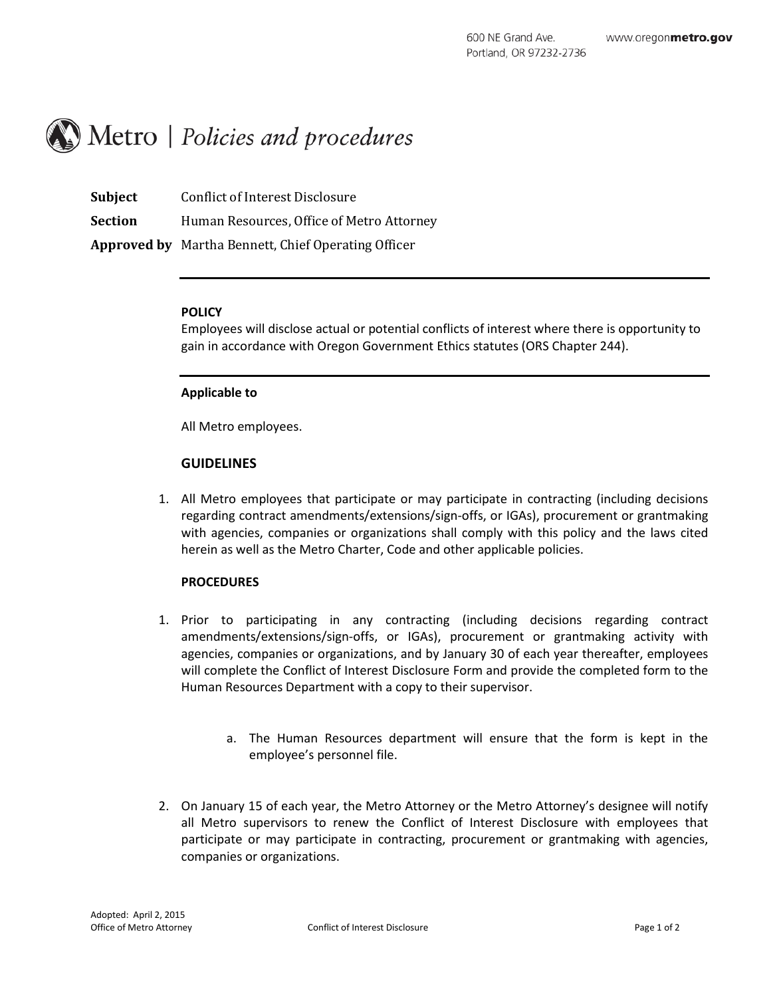# $\mathcal{M}$  Metro | Policies and procedures

| <b>Subject</b> | Conflict of Interest Disclosure                            |
|----------------|------------------------------------------------------------|
| <b>Section</b> | Human Resources, Office of Metro Attorney                  |
|                | <b>Approved by</b> Martha Bennett, Chief Operating Officer |

#### **POLICY**

Employees will disclose actual or potential conflicts of interest where there is opportunity to gain in accordance with Oregon Government Ethics statutes (ORS Chapter 244).

#### **Applicable to**

All Metro employees.

#### **GUIDELINES**

1. All Metro employees that participate or may participate in contracting (including decisions regarding contract amendments/extensions/sign-offs, or IGAs), procurement or grantmaking with agencies, companies or organizations shall comply with this policy and the laws cited herein as well as the Metro Charter, Code and other applicable policies.

#### **PROCEDURES**

- 1. Prior to participating in any contracting (including decisions regarding contract amendments/extensions/sign-offs, or IGAs), procurement or grantmaking activity with agencies, companies or organizations, and by January 30 of each year thereafter, employees will complete the Conflict of Interest Disclosure Form and provide the completed form to the Human Resources Department with a copy to their supervisor.
	- a. The Human Resources department will ensure that the form is kept in the employee's personnel file.
- 2. On January 15 of each year, the Metro Attorney or the Metro Attorney's designee will notify all Metro supervisors to renew the Conflict of Interest Disclosure with employees that participate or may participate in contracting, procurement or grantmaking with agencies, companies or organizations.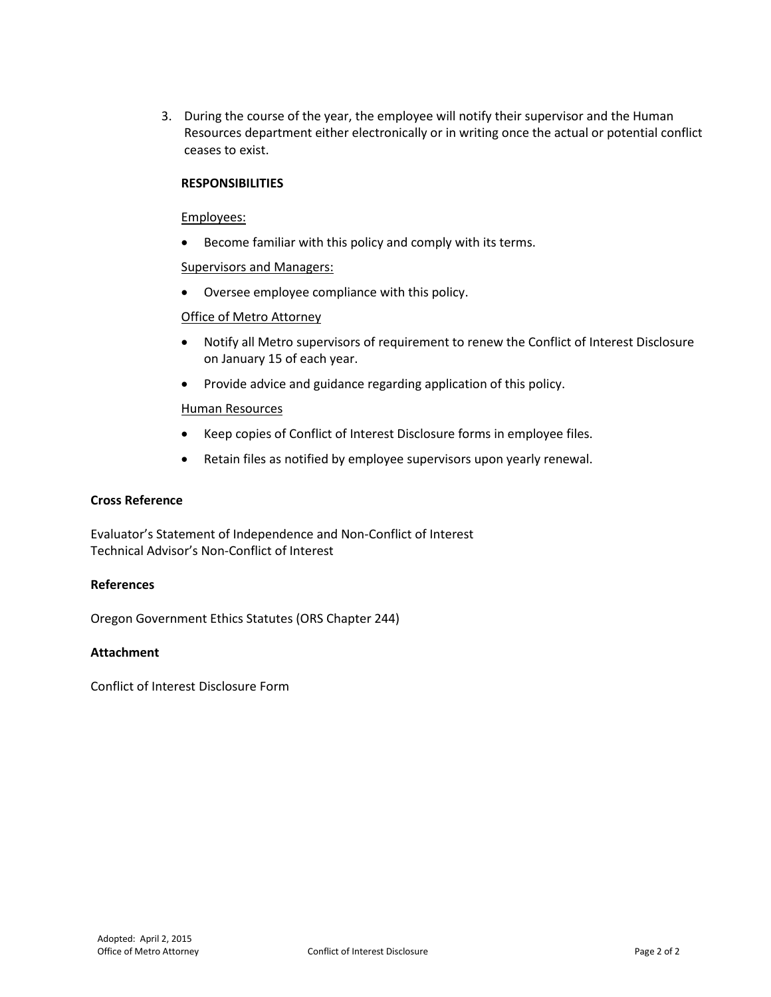3. During the course of the year, the employee will notify their supervisor and the Human Resources department either electronically or in writing once the actual or potential conflict ceases to exist.

#### **RESPONSIBILITIES**

#### Employees:

Become familiar with this policy and comply with its terms.

#### Supervisors and Managers:

• Oversee employee compliance with this policy.

#### Office of Metro Attorney

- Notify all Metro supervisors of requirement to renew the Conflict of Interest Disclosure on January 15 of each year.
- Provide advice and guidance regarding application of this policy.

#### Human Resources

- Keep copies of Conflict of Interest Disclosure forms in employee files.
- Retain files as notified by employee supervisors upon yearly renewal.

#### **Cross Reference**

Evaluator's Statement of Independence and Non-Conflict of Interest Technical Advisor's Non-Conflict of Interest

#### **References**

Oregon Government Ethics Statutes (ORS Chapter 244)

#### **Attachment**

Conflict of Interest Disclosure Form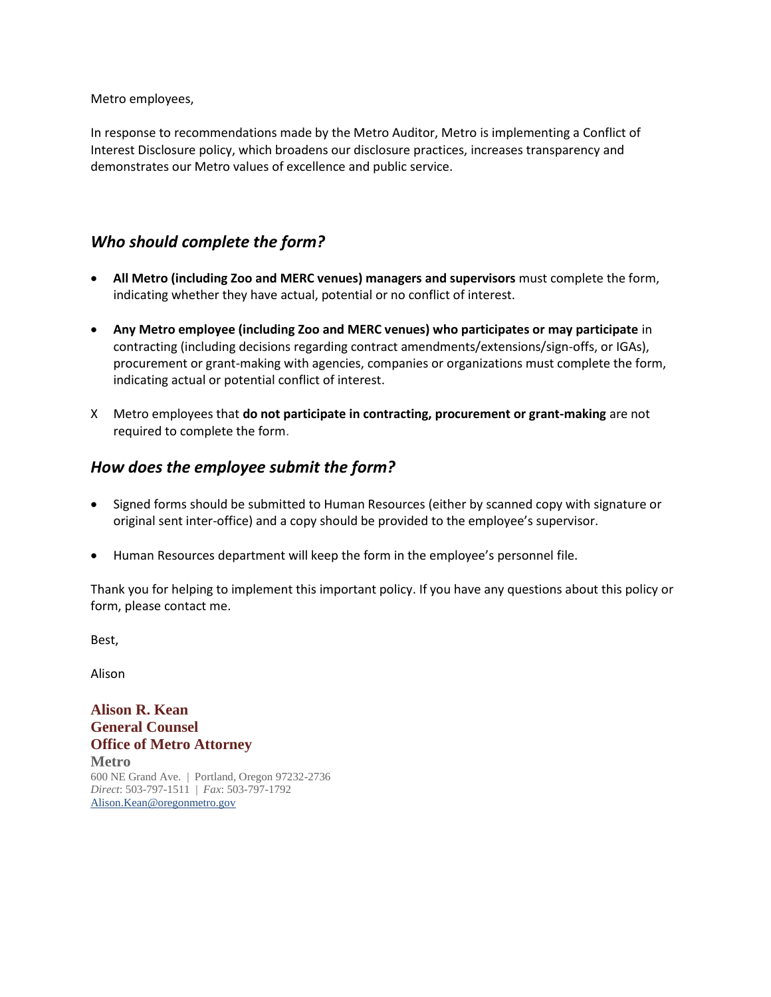Metro employees,

In response to recommendations made by the Metro Auditor, Metro is implementing a Conflict of Interest Disclosure policy, which broadens our disclosure practices, increases transparency and demonstrates our Metro values of excellence and public service.

## *Who should complete the form?*

- **All Metro (including Zoo and MERC venues) managers and supervisors** must complete the form, indicating whether they have actual, potential or no conflict of interest.
- **Any Metro employee (including Zoo and MERC venues) who participates or may participate** in contracting (including decisions regarding contract amendments/extensions/sign-offs, or IGAs), procurement or grant-making with agencies, companies or organizations must complete the form, indicating actual or potential conflict of interest.
- X Metro employees that **do not participate in contracting, procurement or grant-making** are not required to complete the form.

### *How does the employee submit the form?*

- Signed forms should be submitted to Human Resources (either by scanned copy with signature or original sent inter-office) and a copy should be provided to the employee's supervisor.
- Human Resources department will keep the form in the employee's personnel file.

Thank you for helping to implement this important policy. If you have any questions about this policy or form, please contact me.

Best,

Alison

**Alison R. Kean General Counsel Office of Metro Attorney Metro** 600 NE Grand Ave. | Portland, Oregon 97232-2736 *Direct*: 503-797-1511 | *Fax*: 503-797-1792 Alison.Kean@oregonmetro.gov